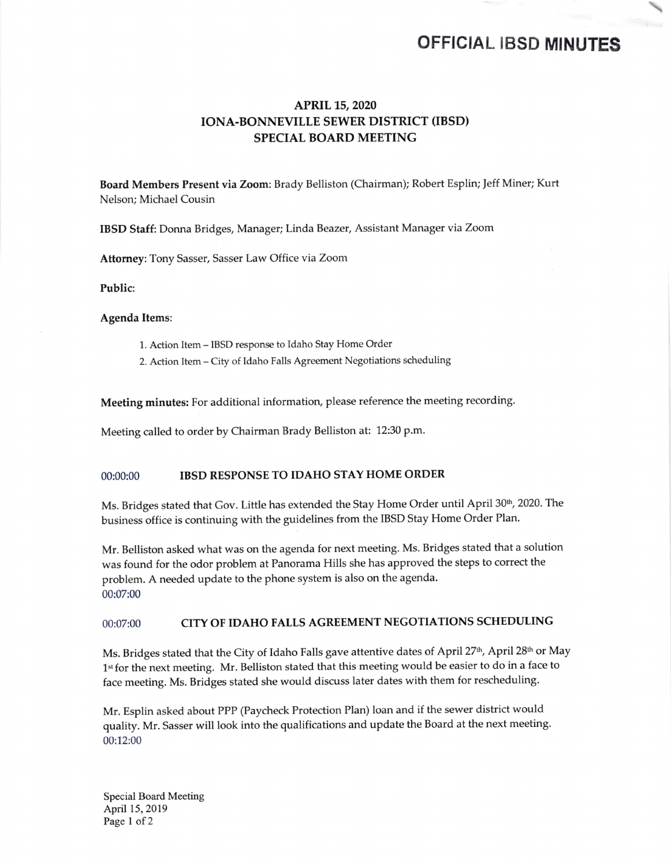## OFFICIAL IBSD MINUTES

### APRIL 15, 2020 IONA-BONNEVILLE SEWER DISTRICT (IBSD) SPECIAL BOARD MEETING

Board Members Present via Zoom: Brady Belliston( Chairman); Robert Esplin; Jeff Miner; Kurt Nelson; Michael Cousin

IBSD Staff: Donna Bridges, Manager; Linda Beazer, Assistant Manager via Zoom

Attorney: Tony Sasser, Sasser Law Office via Zoom

Public:

Agenda Items:

- 1. Action Item- IBSD response to Idaho Stay Home Order
- 2. Action Item- City of Idaho Falls Agreement Negotiations scheduling

Meeting minutes: For additional information, please reference the meeting recording.

Meeting called to order by Chairman Brady Belliston at: 12:30 p.m.

#### 00:00:00 IBSD RESPONSE TO IDAHO STAY HOME ORDER

Ms. Bridges stated that Gov. Little has extended the Stay Home Order until April 30th, 2020. The business office is continuing with the guidelines from the IBSD Stay Home Order Plan.

Mr. Belliston asked what was on the agenda for next meeting. Ms. Bridges stated that <sup>a</sup> solution was found for the odor problem at Panorama Hills she has approved the steps to correct the problem. A needed update to the phone system is also on the agenda. 00:07:00

#### 00:07:00 CITY OF IDAHO FALLS AGREEMENT NEGOTIATIONS SCHEDULING

Ms. Bridges stated that the City of Idaho Falls gave attentive dates of April 27<sup>th</sup>, April 28<sup>th</sup> or May 1st for the next meeting. Mr. Belliston stated that this meeting would be easier to do in a face to face meeting. Ms. Bridges stated she would discuss later dates with them for rescheduling.

Mr. Esplin asked about PPP( Paycheck Protection Plan) loan and if the sewer district would quality. Mr. Sasser will look into the qualifications and update the Board at the next meeting. 00: 12:00

Special Board Meeting April 15, 2019 Page <sup>1</sup> of <sup>2</sup>